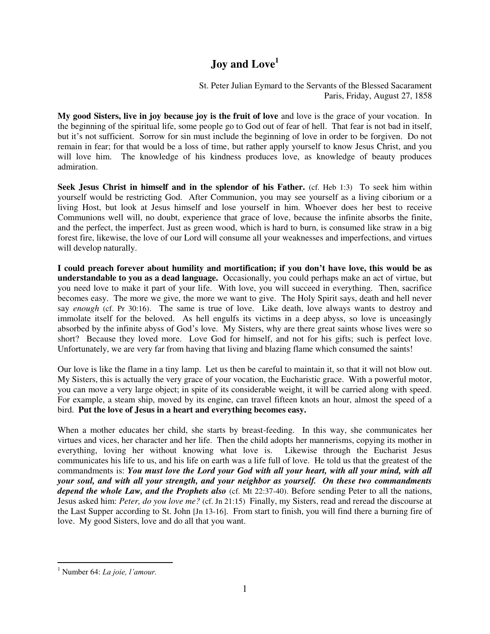## **Joy and Love<sup>1</sup>**

St. Peter Julian Eymard to the Servants of the Blessed Sacarament Paris, Friday, August 27, 1858

**My good Sisters, live in joy because joy is the fruit of love** and love is the grace of your vocation. In the beginning of the spiritual life, some people go to God out of fear of hell. That fear is not bad in itself, but it's not sufficient. Sorrow for sin must include the beginning of love in order to be forgiven. Do not remain in fear; for that would be a loss of time, but rather apply yourself to know Jesus Christ, and you will love him. The knowledge of his kindness produces love, as knowledge of beauty produces admiration.

**Seek Jesus Christ in himself and in the splendor of his Father.** (cf. Heb 1:3) To seek him within yourself would be restricting God. After Communion, you may see yourself as a living ciborium or a living Host, but look at Jesus himself and lose yourself in him. Whoever does her best to receive Communions well will, no doubt, experience that grace of love, because the infinite absorbs the finite, and the perfect, the imperfect. Just as green wood, which is hard to burn, is consumed like straw in a big forest fire, likewise, the love of our Lord will consume all your weaknesses and imperfections, and virtues will develop naturally.

**I could preach forever about humility and mortification; if you don't have love, this would be as understandable to you as a dead language.** Occasionally, you could perhaps make an act of virtue, but you need love to make it part of your life. With love, you will succeed in everything. Then, sacrifice becomes easy. The more we give, the more we want to give. The Holy Spirit says, death and hell never say *enough* (cf. Pr 30:16). The same is true of love. Like death, love always wants to destroy and immolate itself for the beloved. As hell engulfs its victims in a deep abyss, so love is unceasingly absorbed by the infinite abyss of God's love. My Sisters, why are there great saints whose lives were so short? Because they loved more. Love God for himself, and not for his gifts; such is perfect love. Unfortunately, we are very far from having that living and blazing flame which consumed the saints!

Our love is like the flame in a tiny lamp. Let us then be careful to maintain it, so that it will not blow out. My Sisters, this is actually the very grace of your vocation, the Eucharistic grace. With a powerful motor, you can move a very large object; in spite of its considerable weight, it will be carried along with speed. For example, a steam ship, moved by its engine, can travel fifteen knots an hour, almost the speed of a bird. **Put the love of Jesus in a heart and everything becomes easy.** 

When a mother educates her child, she starts by breast-feeding. In this way, she communicates her virtues and vices, her character and her life. Then the child adopts her mannerisms, copying its mother in everything, loving her without knowing what love is. Likewise through the Eucharist Jesus communicates his life to us, and his life on earth was a life full of love. He told us that the greatest of the commandments is: *You must love the Lord your God with all your heart, with all your mind, with all your soul, and with all your strength, and your neighbor as yourself. On these two commandments depend the whole Law, and the Prophets also* (cf. Mt 22:37-40). Before sending Peter to all the nations, Jesus asked him: *Peter, do you love me?* (cf. Jn 21:15) Finally, my Sisters, read and reread the discourse at the Last Supper according to St. John [Jn 13-16]. From start to finish, you will find there a burning fire of love. My good Sisters, love and do all that you want.

 $\overline{a}$ 

<sup>1</sup> Number 64: *La joie, l'amour.*